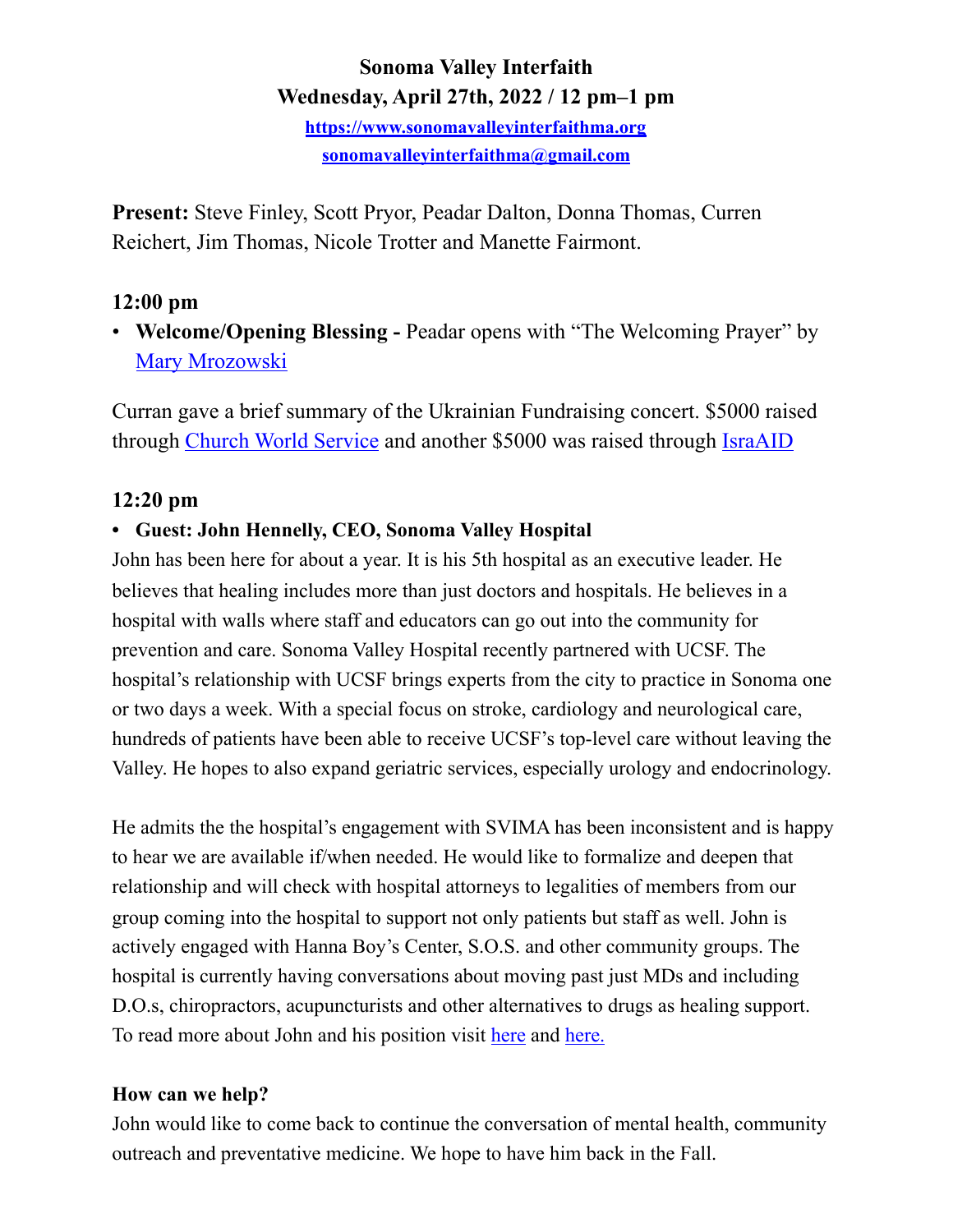# **Sonoma Valley Interfaith Wednesday, April 27th, 2022 / 12 pm–1 pm**

**<https://www.sonomavalleyinterfaithma.org> [sonomavalleyinterfaithma@gmail.com](mailto:sonomavalleyinterfaithma@gmail.com)**

**Present:** Steve Finley, Scott Pryor, Peadar Dalton, Donna Thomas, Curren Reichert, Jim Thomas, Nicole Trotter and Manette Fairmont.

# **12:00 pm**

• **Welcome/Opening Blessing -** Peadar opens with "The Welcoming Prayer" by [Mary Mrozowski](https://www.marymrozowski.com/blank)

Curran gave a brief summary of the Ukrainian Fundraising concert. \$5000 raised through [Church World Service](https://cwsglobal.org/ukraine-response-fund/?utm_source=cwsglobal&utm_medium=banner&utm_campaign=learnmore0329) and another \$5000 was raised through [IsraAID](https://www.israaid.org) 

# **12:20 pm**

### **• Guest: John Hennelly, CEO, Sonoma Valley Hospital**

John has been here for about a year. It is his 5th hospital as an executive leader. He believes that healing includes more than just doctors and hospitals. He believes in a hospital with walls where staff and educators can go out into the community for prevention and care. Sonoma Valley Hospital recently partnered with UCSF. The hospital's relationship with UCSF brings experts from the city to practice in Sonoma one or two days a week. With a special focus on stroke, cardiology and neurological care, hundreds of patients have been able to receive UCSF's top-level care without leaving the Valley. He hopes to also expand geriatric services, especially urology and endocrinology.

He admits the the hospital's engagement with SVIMA has been inconsistent and is happy to hear we are available if/when needed. He would like to formalize and deepen that relationship and will check with hospital attorneys to legalities of members from our group coming into the hospital to support not only patients but staff as well. John is actively engaged with Hanna Boy's Center, S.O.S. and other community groups. The hospital is currently having conversations about moving past just MDs and including D.O.s, chiropractors, acupuncturists and other alternatives to drugs as healing support. To read more about John and his position visit [here](https://sonomasun.com/2021/05/10/a-letter-from-john-hennely-new-sonoma-valley-hospital-ceo/?msclkid=2d5ab6c9c66311eca2c02270e07b0322) and [here.](https://www.sonomanews.com/article/news/new-sonoma-valley-hospital-ceo-focuses-on-partnerships/)

### **How can we help?**

John would like to come back to continue the conversation of mental health, community outreach and preventative medicine. We hope to have him back in the Fall.